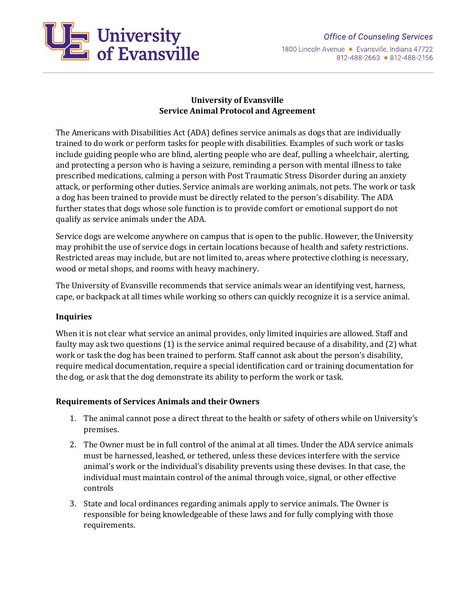1800 Lincoln Avenue · Evansville, Indiana 47722 812-488-2663 • 812-488-2156



## **University of Evansville Service Animal Protocol and Agreement**

The Americans with Disabilities Act (ADA) defines service animals as dogs that are individually trained to do work or perform tasks for people with disabilities. Examples of such work or tasks include guiding people who are blind, alerting people who are deaf, pulling a wheelchair, alerting, and protecting a person who is having a seizure, reminding a person with mental illness to take prescribed medications, calming a person with Post Traumatic Stress Disorder during an anxiety attack, or performing other duties. Service animals are working animals, not pets. The work or task a dog has been trained to provide must be directly related to the person's disability. The ADA further states that dogs whose sole function is to provide comfort or emotional support do not qualify as service animals under the ADA.

Service dogs are welcome anywhere on campus that is open to the public. However, the University may prohibit the use of service dogs in certain locations because of health and safety restrictions. Restricted areas may include, but are not limited to, areas where protective clothing is necessary, wood or metal shops, and rooms with heavy machinery.

The University of Evansville recommends that service animals wear an identifying vest, harness, cape, or backpack at all times while working so others can quickly recognize it is a service animal.

### **Inquiries**

When it is not clear what service an animal provides, only limited inquiries are allowed. Staff and faulty may ask two questions (1) is the service animal required because of a disability, and (2) what work or task the dog has been trained to perform. Staff cannot ask about the person's disability, require medical documentation, require a special identification card or training documentation for the dog, or ask that the dog demonstrate its ability to perform the work or task.

### **Requirements of Services Animals and their Owners**

- 1. The animal cannot pose a direct threat to the health or safety of others while on University's premises.
- 2. The Owner must be in full control of the animal at all times. Under the ADA service animals must be harnessed, leashed, or tethered, unless these devices interfere with the service animal's work or the individual's disability prevents using these devises. In that case, the individual must maintain control of the animal through voice, signal, or other effective controls
- 3. State and local ordinances regarding animals apply to service animals. The Owner is responsible for being knowledgeable of these laws and for fully complying with those requirements.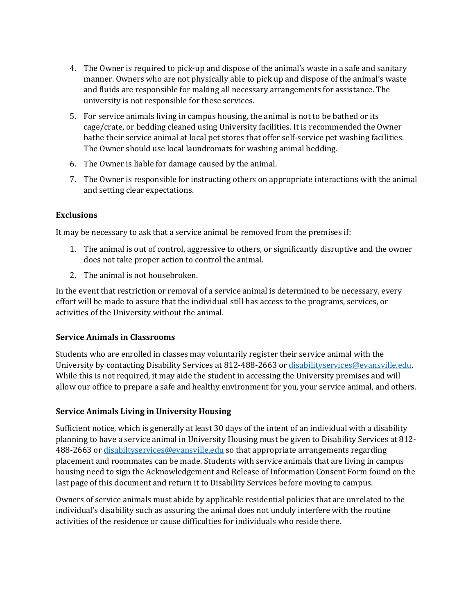- 4. The Owner is required to pick-up and dispose of the animal's waste in a safe and sanitary manner. Owners who are not physically able to pick up and dispose of the animal's waste and fluids are responsible for making all necessary arrangements for assistance. The university is not responsible for these services.
- 5. For service animals living in campus housing, the animal is not to be bathed or its cage/crate, or bedding cleaned using University facilities. It is recommended the Owner bathe their service animal at local pet stores that offer self-service pet washing facilities. The Owner should use local laundromats for washing animal bedding.
- 6. The Owner is liable for damage caused by the animal.
- 7. The Owner is responsible for instructing others on appropriate interactions with the animal and setting clear expectations.

## **Exclusions**

It may be necessary to ask that a service animal be removed from the premises if:

- 1. The animal is out of control, aggressive to others, or significantly disruptive and the owner does not take proper action to control the animal.
- 2. The animal is not housebroken.

In the event that restriction or removal of a service animal is determined to be necessary, every effort will be made to assure that the individual still has access to the programs, services, or activities of the University without the animal.

# **Service Animals in Classrooms**

Students who are enrolled in classes may voluntarily register their service animal with the University by contacting Disability Services at 812-488-2663 o[r disabilityservices@evansville.edu.](mailto:disabilityservices@evansville.edu) While this is not required, it may aide the student in accessing the University premises and will allow our office to prepare a safe and healthy environment for you, your service animal, and others.

# **Service Animals Living in University Housing**

Sufficient notice, which is generally at least 30 days of the intent of an individual with a disability planning to have a service animal in University Housing must be given to Disability Services at 812- 488-2663 o[r disabiltyservices@evansville.edu](mailto:disabiltyservices@evansville.edu) so that appropriate arrangements regarding placement and roommates can be made. Students with service animals that are living in campus housing need to sign the Acknowledgement and Release of Information Consent Form found on the last page of this document and return it to Disability Services before moving to campus.

Owners of service animals must abide by applicable residential policies that are unrelated to the individual's disability such as assuring the animal does not unduly interfere with the routine activities of the residence or cause difficulties for individuals who reside there.